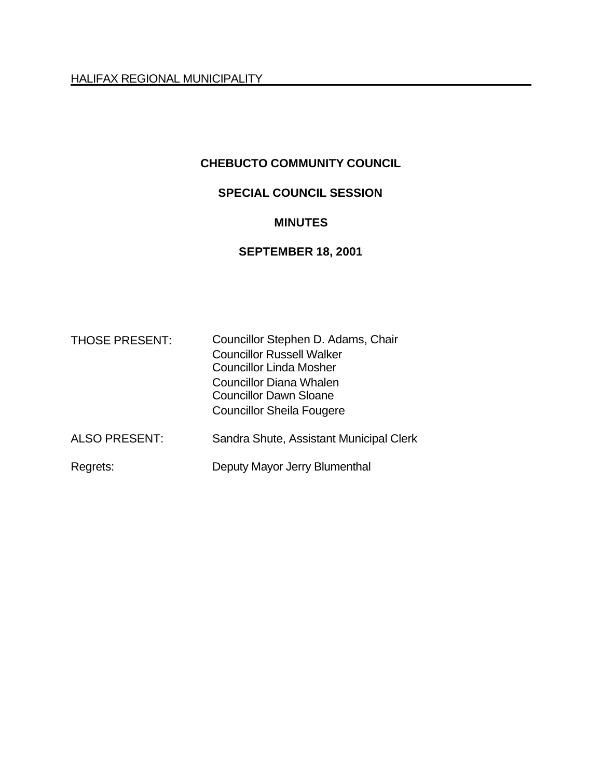HALIFAX REGIONAL MUNICIPALITY

## **CHEBUCTO COMMUNITY COUNCIL**

## **SPECIAL COUNCIL SESSION**

#### **MINUTES**

## **SEPTEMBER 18, 2001**

| <b>THOSE PRESENT:</b> | Councillor Stephen D. Adams, Chair      |
|-----------------------|-----------------------------------------|
|                       | <b>Councillor Russell Walker</b>        |
|                       | <b>Councillor Linda Mosher</b>          |
|                       | Councillor Diana Whalen                 |
|                       | <b>Councillor Dawn Sloane</b>           |
|                       | <b>Councillor Sheila Fougere</b>        |
| <b>ALSO PRESENT:</b>  | Sandra Shute, Assistant Municipal Clerk |
| Regrets:              | Deputy Mayor Jerry Blumenthal           |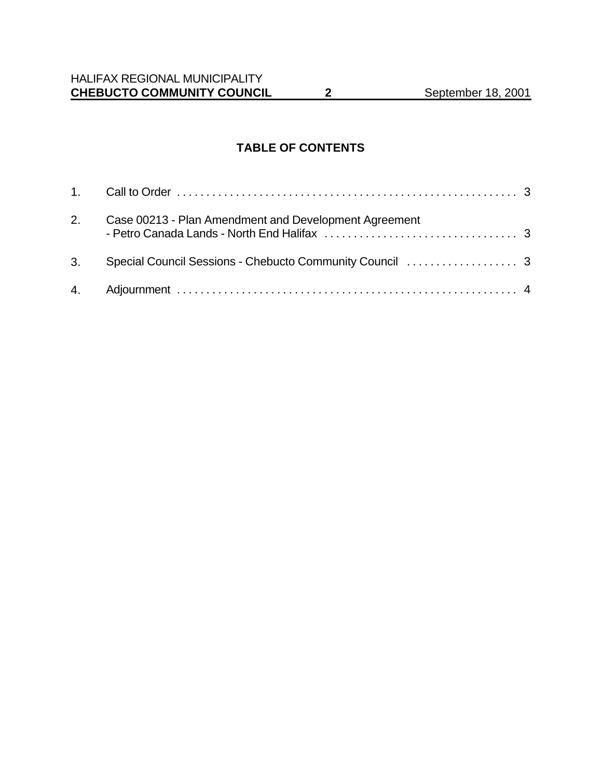# **TABLE OF CONTENTS**

| 2. | Case 00213 - Plan Amendment and Development Agreement |  |
|----|-------------------------------------------------------|--|
|    |                                                       |  |
|    |                                                       |  |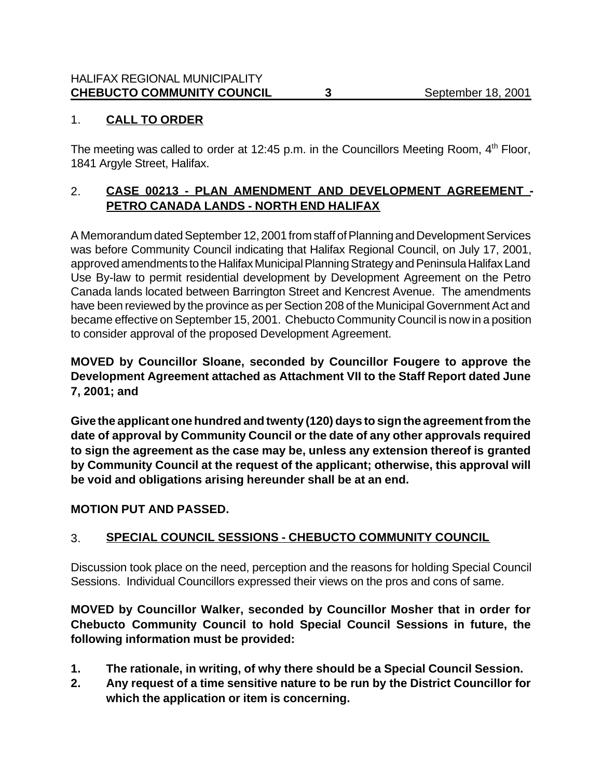## 1. **CALL TO ORDER**

The meeting was called to order at 12:45 p.m. in the Councillors Meeting Room, 4<sup>th</sup> Floor, 1841 Argyle Street, Halifax.

## 2. **CASE 00213 - PLAN AMENDMENT AND DEVELOPMENT AGREEMENT - PETRO CANADA LANDS - NORTH END HALIFAX**

A Memorandum dated September 12, 2001 from staff of Planning and Development Services was before Community Council indicating that Halifax Regional Council, on July 17, 2001, approved amendments to the Halifax Municipal Planning Strategy and Peninsula Halifax Land Use By-law to permit residential development by Development Agreement on the Petro Canada lands located between Barrington Street and Kencrest Avenue. The amendments have been reviewed by the province as per Section 208 of the Municipal Government Act and became effective on September 15, 2001. Chebucto Community Council is now in a position to consider approval of the proposed Development Agreement.

## **MOVED by Councillor Sloane, seconded by Councillor Fougere to approve the Development Agreement attached as Attachment VII to the Staff Report dated June 7, 2001; and**

**Give the applicant one hundred and twenty (120) days to sign the agreement from the date of approval by Community Council or the date of any other approvals required to sign the agreement as the case may be, unless any extension thereof is granted by Community Council at the request of the applicant; otherwise, this approval will be void and obligations arising hereunder shall be at an end.**

## **MOTION PUT AND PASSED.**

## 3. **SPECIAL COUNCIL SESSIONS - CHEBUCTO COMMUNITY COUNCIL**

Discussion took place on the need, perception and the reasons for holding Special Council Sessions. Individual Councillors expressed their views on the pros and cons of same.

**MOVED by Councillor Walker, seconded by Councillor Mosher that in order for Chebucto Community Council to hold Special Council Sessions in future, the following information must be provided:**

- **1. The rationale, in writing, of why there should be a Special Council Session.**
- **2. Any request of a time sensitive nature to be run by the District Councillor for which the application or item is concerning.**